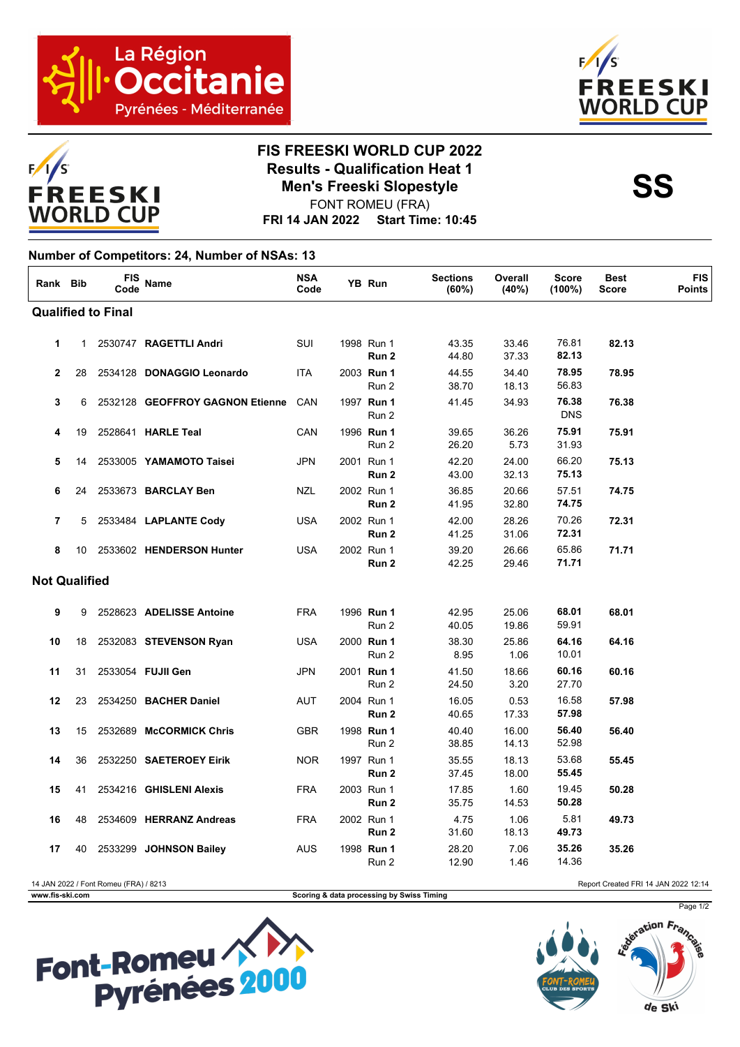



## **FIS FREESKI WORLD CUP 2022 Results - Qualification Heat 1**<br>Men's Freeski Slopestyle<br>SS **Men's Freeski Slopestyle**

**FRI 14 JAN 2022 Start Time: 10:45** FONT ROMEU (FRA)

## **Number of Competitors: 24, Number of NSAs: 13**

| Rank Bib                                                                      |                      | FIS<br>Code | Name                            | <b>NSA</b><br>Code |  | YB Run              | <b>Sections</b><br>(60%) | Overall<br>(40%) | <b>Score</b><br>(100%) | <b>Best</b><br><b>Score</b> | <b>FIS</b><br><b>Points</b> |
|-------------------------------------------------------------------------------|----------------------|-------------|---------------------------------|--------------------|--|---------------------|--------------------------|------------------|------------------------|-----------------------------|-----------------------------|
| <b>Qualified to Final</b>                                                     |                      |             |                                 |                    |  |                     |                          |                  |                        |                             |                             |
| $\mathbf{1}$                                                                  | $\mathbf{1}$         |             | 2530747 RAGETTLI Andri          | SUI                |  | 1998 Run 1<br>Run 2 | 43.35<br>44.80           | 33.46<br>37.33   | 76.81<br>82.13         | 82.13                       |                             |
| $\overline{2}$                                                                | 28                   |             | 2534128 DONAGGIO Leonardo       | <b>ITA</b>         |  | 2003 Run 1<br>Run 2 | 44.55<br>38.70           | 34.40<br>18.13   | 78.95<br>56.83         | 78.95                       |                             |
| 3                                                                             | 6                    |             | 2532128 GEOFFROY GAGNON Etienne | CAN                |  | 1997 Run 1<br>Run 2 | 41.45                    | 34.93            | 76.38<br><b>DNS</b>    | 76.38                       |                             |
| 4                                                                             | 19                   |             | 2528641 HARLE Teal              | CAN                |  | 1996 Run 1<br>Run 2 | 39.65<br>26.20           | 36.26<br>5.73    | 75.91<br>31.93         | 75.91                       |                             |
| 5                                                                             | 14                   |             | 2533005 YAMAMOTO Taisei         | <b>JPN</b>         |  | 2001 Run 1<br>Run 2 | 42.20<br>43.00           | 24.00<br>32.13   | 66.20<br>75.13         | 75.13                       |                             |
| 6                                                                             | 24                   |             | 2533673 BARCLAY Ben             | <b>NZL</b>         |  | 2002 Run 1<br>Run 2 | 36.85<br>41.95           | 20.66<br>32.80   | 57.51<br>74.75         | 74.75                       |                             |
| $\overline{7}$                                                                | 5                    |             | 2533484 LAPLANTE Cody           | <b>USA</b>         |  | 2002 Run 1<br>Run 2 | 42.00<br>41.25           | 28.26<br>31.06   | 70.26<br>72.31         | 72.31                       |                             |
| 8                                                                             | 10                   |             | 2533602 HENDERSON Hunter        | <b>USA</b>         |  | 2002 Run 1<br>Run 2 | 39.20<br>42.25           | 26.66<br>29.46   | 65.86<br>71.71         | 71.71                       |                             |
|                                                                               | <b>Not Qualified</b> |             |                                 |                    |  |                     |                          |                  |                        |                             |                             |
| 9                                                                             | 9                    |             | 2528623 ADELISSE Antoine        | <b>FRA</b>         |  | 1996 Run 1<br>Run 2 | 42.95<br>40.05           | 25.06<br>19.86   | 68.01<br>59.91         | 68.01                       |                             |
| 10                                                                            | 18                   |             | 2532083 STEVENSON Ryan          | <b>USA</b>         |  | 2000 Run 1<br>Run 2 | 38.30<br>8.95            | 25.86<br>1.06    | 64.16<br>10.01         | 64.16                       |                             |
| 11                                                                            | 31                   |             | 2533054 FUJII Gen               | <b>JPN</b>         |  | 2001 Run 1<br>Run 2 | 41.50<br>24.50           | 18.66<br>3.20    | 60.16<br>27.70         | 60.16                       |                             |
| 12                                                                            | 23                   |             | 2534250 BACHER Daniel           | <b>AUT</b>         |  | 2004 Run 1<br>Run 2 | 16.05<br>40.65           | 0.53<br>17.33    | 16.58<br>57.98         | 57.98                       |                             |
| 13                                                                            | 15                   |             | 2532689 McCORMICK Chris         | <b>GBR</b>         |  | 1998 Run 1<br>Run 2 | 40.40<br>38.85           | 16.00<br>14.13   | 56.40<br>52.98         | 56.40                       |                             |
| 14                                                                            | 36                   |             | 2532250 SAETEROEY Eirik         | <b>NOR</b>         |  | 1997 Run 1<br>Run 2 | 35.55<br>37.45           | 18.13<br>18.00   | 53.68<br>55.45         | 55.45                       |                             |
| 15                                                                            | 41                   |             | 2534216 GHISLENI Alexis         | <b>FRA</b>         |  | 2003 Run 1<br>Run 2 | 17.85<br>35.75           | 1.60<br>14.53    | 19.45<br>50.28         | 50.28                       |                             |
| 16                                                                            | 48                   |             | 2534609 HERRANZ Andreas         | <b>FRA</b>         |  | 2002 Run 1<br>Run 2 | 4.75<br>31.60            | 1.06<br>18.13    | 5.81<br>49.73          | 49.73                       |                             |
| 17                                                                            | 40                   |             | 2533299 JOHNSON Bailey          | AUS                |  | 1998 Run 1<br>Run 2 | 28.20<br>12.90           | 7.06<br>1.46     | 35.26<br>14.36         | 35.26                       |                             |
| 14 JAN 2022 / Font Romeu (FRA) / 8213<br>Report Created FRI 14 JAN 2022 12:14 |                      |             |                                 |                    |  |                     |                          |                  |                        |                             |                             |

**www.fis-ski.com Scoring & data processing by Swiss Timing**





Page 1/2